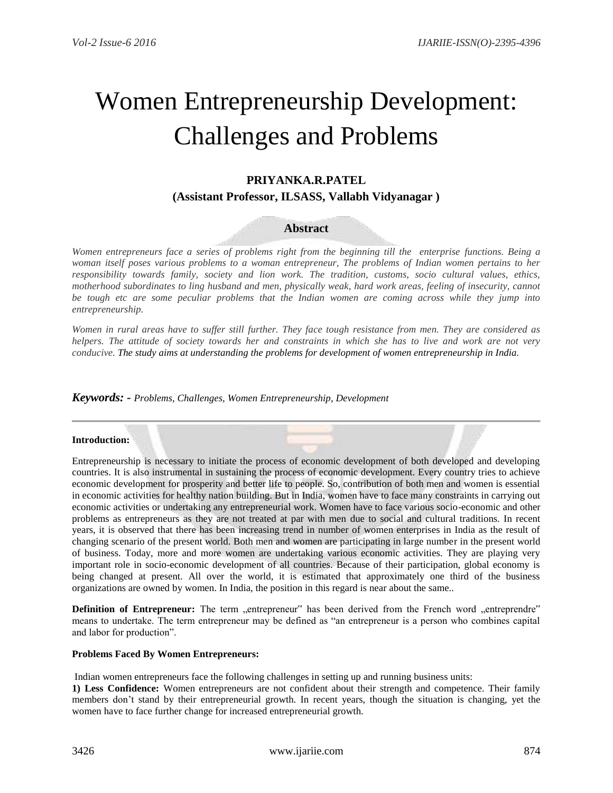# Women Entrepreneurship Development: Challenges and Problems

# **PRIYANKA.R.PATEL (Assistant Professor, ILSASS, Vallabh Vidyanagar )**

# **Abstract**

*Women entrepreneurs face a series of problems right from the beginning till the enterprise functions. Being a woman itself poses various problems to a woman entrepreneur, The problems of Indian women pertains to her responsibility towards family, society and lion work. The tradition, customs, socio cultural values, ethics, motherhood subordinates to ling husband and men, physically weak, hard work areas, feeling of insecurity, cannot be tough etc are some peculiar problems that the Indian women are coming across while they jump into entrepreneurship.*

*Women in rural areas have to suffer still further. They face tough resistance from men. They are considered as helpers. The attitude of society towards her and constraints in which she has to live and work are not very conducive. The study aims at understanding the problems for development of women entrepreneurship in India.*

*Keywords: - Problems, Challenges, Women Entrepreneurship, Development*

#### **Introduction:**

Entrepreneurship is necessary to initiate the process of economic development of both developed and developing countries. It is also instrumental in sustaining the process of economic development. Every country tries to achieve economic development for prosperity and better life to people. So, contribution of both men and women is essential in economic activities for healthy nation building. But in India, women have to face many constraints in carrying out economic activities or undertaking any entrepreneurial work. Women have to face various socio-economic and other problems as entrepreneurs as they are not treated at par with men due to social and cultural traditions. In recent years, it is observed that there has been increasing trend in number of women enterprises in India as the result of changing scenario of the present world. Both men and women are participating in large number in the present world of business. Today, more and more women are undertaking various economic activities. They are playing very important role in socio-economic development of all countries. Because of their participation, global economy is being changed at present. All over the world, it is estimated that approximately one third of the business organizations are owned by women. In India, the position in this regard is near about the same..

Definition of Entrepreneur: The term "entrepreneur" has been derived from the French word "entreprendre" means to undertake. The term entrepreneur may be defined as "an entrepreneur is a person who combines capital and labor for production".

#### **Problems Faced By Women Entrepreneurs:**

Indian women entrepreneurs face the following challenges in setting up and running business units:

**1) Less Confidence:** Women entrepreneurs are not confident about their strength and competence. Their family members don't stand by their entrepreneurial growth. In recent years, though the situation is changing, yet the women have to face further change for increased entrepreneurial growth.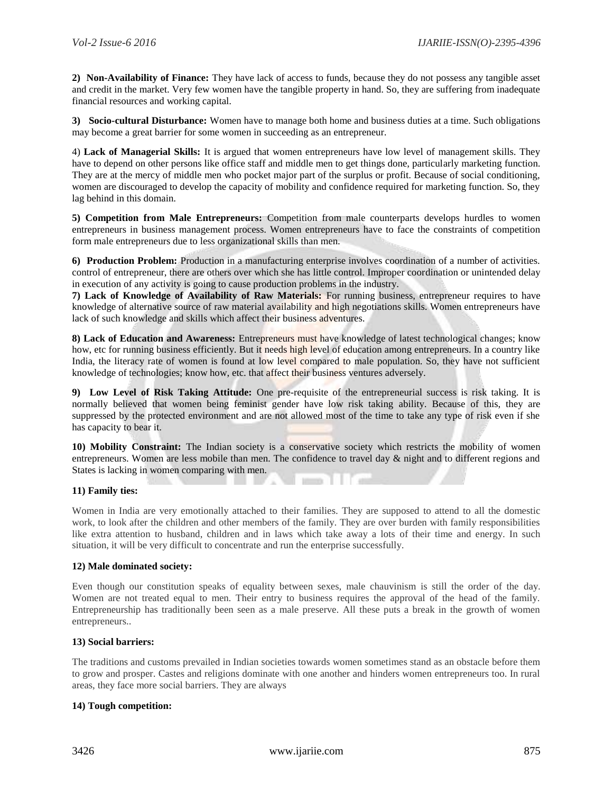**2) Non-Availability of Finance:** They have lack of access to funds, because they do not possess any tangible asset and credit in the market. Very few women have the tangible property in hand. So, they are suffering from inadequate financial resources and working capital.

**3) Socio-cultural Disturbance:** Women have to manage both home and business duties at a time. Such obligations may become a great barrier for some women in succeeding as an entrepreneur.

4) **Lack of Managerial Skills:** It is argued that women entrepreneurs have low level of management skills. They have to depend on other persons like office staff and middle men to get things done, particularly marketing function. They are at the mercy of middle men who pocket major part of the surplus or profit. Because of social conditioning, women are discouraged to develop the capacity of mobility and confidence required for marketing function. So, they lag behind in this domain.

**5) Competition from Male Entrepreneurs:** Competition from male counterparts develops hurdles to women entrepreneurs in business management process. Women entrepreneurs have to face the constraints of competition form male entrepreneurs due to less organizational skills than men.

**6) Production Problem:** Production in a manufacturing enterprise involves coordination of a number of activities. control of entrepreneur, there are others over which she has little control. Improper coordination or unintended delay in execution of any activity is going to cause production problems in the industry.

**7) Lack of Knowledge of Availability of Raw Materials:** For running business, entrepreneur requires to have knowledge of alternative source of raw material availability and high negotiations skills. Women entrepreneurs have lack of such knowledge and skills which affect their business adventures.

**8) Lack of Education and Awareness:** Entrepreneurs must have knowledge of latest technological changes; know how, etc for running business efficiently. But it needs high level of education among entrepreneurs. In a country like India, the literacy rate of women is found at low level compared to male population. So, they have not sufficient knowledge of technologies; know how, etc. that affect their business ventures adversely.

**9) Low Level of Risk Taking Attitude:** One pre-requisite of the entrepreneurial success is risk taking. It is normally believed that women being feminist gender have low risk taking ability. Because of this, they are suppressed by the protected environment and are not allowed most of the time to take any type of risk even if she has capacity to bear it.

**10) Mobility Constraint:** The Indian society is a conservative society which restricts the mobility of women entrepreneurs. Women are less mobile than men. The confidence to travel day & night and to different regions and States is lacking in women comparing with men. seen T.T.

# **11) Family ties:**

Women in India are very emotionally attached to their families. They are supposed to attend to all the domestic work, to look after the children and other members of the family. They are over burden with family responsibilities like extra attention to husband, children and in laws which take away a lots of their time and energy. In such situation, it will be very difficult to concentrate and run the enterprise successfully.

# **12) Male dominated society:**

Even though our constitution speaks of equality between sexes, male chauvinism is still the order of the day. Women are not treated equal to men. Their entry to business requires the approval of the head of the family. Entrepreneurship has traditionally been seen as a male preserve. All these puts a break in the growth of women entrepreneurs..

# **13) Social barriers:**

The traditions and customs prevailed in Indian societies towards women sometimes stand as an obstacle before them to grow and prosper. Castes and religions dominate with one another and hinders women entrepreneurs too. In rural areas, they face more social barriers. They are always

# **14) Tough competition:**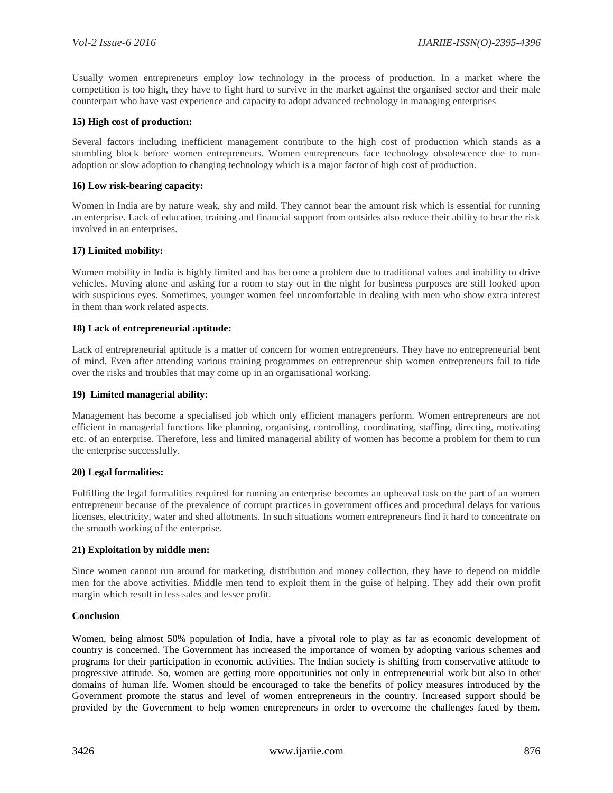Usually women entrepreneurs employ low technology in the process of production. In a market where the competition is too high, they have to fight hard to survive in the market against the organised sector and their male counterpart who have vast experience and capacity to adopt advanced technology in managing enterprises

# **15) High cost of production:**

Several factors including inefficient management contribute to the high cost of production which stands as a stumbling block before women entrepreneurs. Women entrepreneurs face technology obsolescence due to nonadoption or slow adoption to changing technology which is a major factor of high cost of production.

#### **16) Low risk-bearing capacity:**

Women in India are by nature weak, shy and mild. They cannot bear the amount risk which is essential for running an enterprise. Lack of education, training and financial support from outsides also reduce their ability to bear the risk involved in an enterprises.

# **17) Limited mobility:**

Women mobility in India is highly limited and has become a problem due to traditional values and inability to drive vehicles. Moving alone and asking for a room to stay out in the night for business purposes are still looked upon with suspicious eyes. Sometimes, younger women feel uncomfortable in dealing with men who show extra interest in them than work related aspects.

#### **18) Lack of entrepreneurial aptitude:**

Lack of entrepreneurial aptitude is a matter of concern for women entrepreneurs. They have no entrepreneurial bent of mind. Even after attending various training programmes on entrepreneur ship women entrepreneurs fail to tide over the risks and troubles that may come up in an organisational working.

#### **19) Limited managerial ability:**

Management has become a specialised job which only efficient managers perform. Women entrepreneurs are not efficient in managerial functions like planning, organising, controlling, coordinating, staffing, directing, motivating etc. of an enterprise. Therefore, less and limited managerial ability of women has become a problem for them to run the enterprise successfully.

#### **20) Legal formalities:**

Fulfilling the legal formalities required for running an enterprise becomes an upheaval task on the part of an women entrepreneur because of the prevalence of corrupt practices in government offices and procedural delays for various licenses, electricity, water and shed allotments. In such situations women entrepreneurs find it hard to concentrate on the smooth working of the enterprise.

#### **21) Exploitation by middle men:**

Since women cannot run around for marketing, distribution and money collection, they have to depend on middle men for the above activities. Middle men tend to exploit them in the guise of helping. They add their own profit margin which result in less sales and lesser profit.

#### **Conclusion**

Women, being almost 50% population of India, have a pivotal role to play as far as economic development of country is concerned. The Government has increased the importance of women by adopting various schemes and programs for their participation in economic activities. The Indian society is shifting from conservative attitude to progressive attitude. So, women are getting more opportunities not only in entrepreneurial work but also in other domains of human life. Women should be encouraged to take the benefits of policy measures introduced by the Government promote the status and level of women entrepreneurs in the country. Increased support should be provided by the Government to help women entrepreneurs in order to overcome the challenges faced by them.